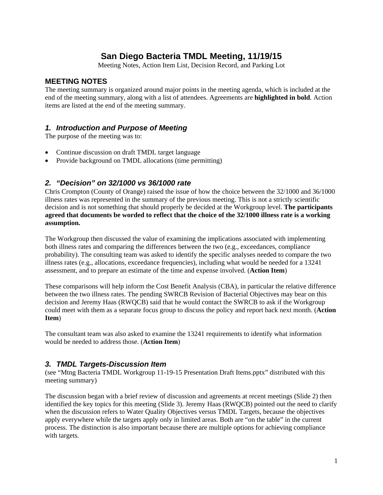## **San Diego Bacteria TMDL Meeting, 11/19/15**

Meeting Notes, Action Item List, Decision Record, and Parking Lot

### **MEETING NOTES**

The meeting summary is organized around major points in the meeting agenda, which is included at the end of the meeting summary, along with a list of attendees. Agreements are **highlighted in bold**. Action items are listed at the end of the meeting summary.

## *1. Introduction and Purpose of Meeting*

The purpose of the meeting was to:

- Continue discussion on draft TMDL target language
- Provide background on TMDL allocations (time permitting)

## *2. "Decision" on 32/1000 vs 36/1000 rate*

Chris Crompton (County of Orange) raised the issue of how the choice between the 32/1000 and 36/1000 illness rates was represented in the summary of the previous meeting. This is not a strictly scientific decision and is not something that should properly be decided at the Workgroup level. **The participants agreed that documents be worded to reflect that the choice of the 32/1000 illness rate is a working assumption.** 

The Workgroup then discussed the value of examining the implications associated with implementing both illness rates and comparing the differences between the two (e.g., exceedances, compliance probability). The consulting team was asked to identify the specific analyses needed to compare the two illness rates (e.g., allocations, exceedance frequencies), including what would be needed for a 13241 assessment, and to prepare an estimate of the time and expense involved. (**Action Item**)

These comparisons will help inform the Cost Benefit Analysis (CBA), in particular the relative difference between the two illness rates. The pending SWRCB Revision of Bacterial Objectives may bear on this decision and Jeremy Haas (RWQCB) said that he would contact the SWRCB to ask if the Workgroup could meet with them as a separate focus group to discuss the policy and report back next month. (**Action Item**)

The consultant team was also asked to examine the 13241 requirements to identify what information would be needed to address those. (**Action Item**)

## *3. TMDL Targets-Discussion Item*

(see "Mtng Bacteria TMDL Workgroup 11-19-15 Presentation Draft Items.pptx" distributed with this meeting summary)

The discussion began with a brief review of discussion and agreements at recent meetings (Slide 2) then identified the key topics for this meeting (Slide 3). Jeremy Haas (RWQCB) pointed out the need to clarify when the discussion refers to Water Quality Objectives versus TMDL Targets, because the objectives apply everywhere while the targets apply only in limited areas. Both are "on the table" in the current process. The distinction is also important because there are multiple options for achieving compliance with targets.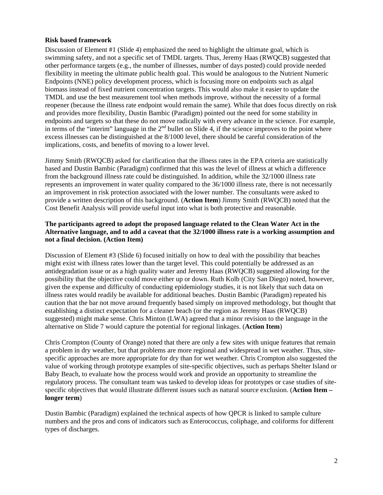#### **Risk based framework**

Discussion of Element #1 (Slide 4) emphasized the need to highlight the ultimate goal, which is swimming safety, and not a specific set of TMDL targets. Thus, Jeremy Haas (RWQCB) suggested that other performance targets (e.g., the number of illnesses, number of days posted) could provide needed flexibility in meeting the ultimate public health goal. This would be analogous to the Nutrient Numeric Endpoints (NNE) policy development process, which is focusing more on endpoints such as algal biomass instead of fixed nutrient concentration targets. This would also make it easier to update the TMDL and use the best measurement tool when methods improve, without the necessity of a formal reopener (because the illness rate endpoint would remain the same). While that does focus directly on risk and provides more flexibility, Dustin Bambic (Paradigm) pointed out the need for some stability in endpoints and targets so that these do not move radically with every advance in the science. For example, in terms of the "interim" language in the  $2<sup>nd</sup>$  bullet on Slide 4, if the science improves to the point where excess illnesses can be distinguished at the 8/1000 level, there should be careful consideration of the implications, costs, and benefits of moving to a lower level.

Jimmy Smith (RWQCB) asked for clarification that the illness rates in the EPA criteria are statistically based and Dustin Bambic (Paradigm) confirmed that this was the level of illness at which a difference from the background illness rate could be distinguished. In addition, while the 32/1000 illness rate represents an improvement in water quality compared to the 36/1000 illness rate, there is not necessarily an improvement in risk protection associated with the lower number. The consultants were asked to provide a written description of this background. (**Action Item**) Jimmy Smith (RWQCB) noted that the Cost Benefit Analysis will provide useful input into what is both protective and reasonable.

#### **The participants agreed to adopt the proposed language related to the Clean Water Act in the Alternative language, and to add a caveat that the 32/1000 illness rate is a working assumption and not a final decision. (Action Item)**

Discussion of Element #3 (Slide 6) focused initially on how to deal with the possibility that beaches might exist with illness rates lower than the target level. This could potentially be addressed as an antidegradation issue or as a high quality water and Jeremy Haas (RWQCB) suggested allowing for the possibility that the objective could move either up or down. Ruth Kolb (City San Diego) noted, however, given the expense and difficulty of conducting epidemiology studies, it is not likely that such data on illness rates would readily be available for additional beaches. Dustin Bambic (Paradigm) repeated his caution that the bar not move around frequently based simply on improved methodology, but thought that establishing a distinct expectation for a cleaner beach (or the region as Jeremy Haas (RWQCB) suggested) might make sense. Chris Minton (LWA) agreed that a minor revision to the language in the alternative on Slide 7 would capture the potential for regional linkages. (**Action Item**)

Chris Crompton (County of Orange) noted that there are only a few sites with unique features that remain a problem in dry weather, but that problems are more regional and widespread in wet weather. Thus, sitespecific approaches are more appropriate for dry than for wet weather. Chris Crompton also suggested the value of working through prototype examples of site-specific objectives, such as perhaps Shelter Island or Baby Beach, to evaluate how the process would work and provide an opportunity to streamline the regulatory process. The consultant team was tasked to develop ideas for prototypes or case studies of sitespecific objectives that would illustrate different issues such as natural source exclusion. (**Action Item – longer term**)

Dustin Bambic (Paradigm) explained the technical aspects of how QPCR is linked to sample culture numbers and the pros and cons of indicators such as Enterococcus, coliphage, and coliforms for different types of discharges.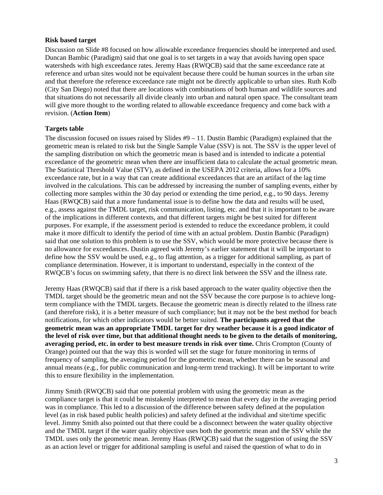#### **Risk based target**

Discussion on Slide #8 focused on how allowable exceedance frequencies should be interpreted and used. Duncan Bambic (Paradigm) said that one goal is to set targets in a way that avoids having open space watersheds with high exceedance rates. Jeremy Haas (RWQCB) said that the same exceedance rate at reference and urban sites would not be equivalent because there could be human sources in the urban site and that therefore the reference exceedance rate might not be directly applicable to urban sites. Ruth Kolb (City San Diego) noted that there are locations with combinations of both human and wildlife sources and that situations do not necessarily all divide cleanly into urban and natural open space. The consultant team will give more thought to the wording related to allowable exceedance frequency and come back with a revision. (**Action Item**)

#### **Targets table**

The discussion focused on issues raised by Slides  $#9 - 11$ . Dustin Bambic (Paradigm) explained that the geometric mean is related to risk but the Single Sample Value (SSV) is not. The SSV is the upper level of the sampling distribution on which the geometric mean is based and is intended to indicate a potential exceedance of the geometric mean when there are insufficient data to calculate the actual geometric mean. The Statistical Threshold Value (STV), as defined in the USEPA 2012 criteria, allows for a 10% exceedance rate, but in a way that can create additional exceedances that are an artifact of the lag time involved in the calculations. This can be addressed by increasing the number of sampling events, either by collecting more samples within the 30 day period or extending the time period, e.g., to 90 days. Jeremy Haas (RWQCB) said that a more fundamental issue is to define how the data and results will be used, e.g., assess against the TMDL target, risk communication, listing, etc. and that it is important to be aware of the implications in different contexts, and that different targets might be best suited for different purposes. For example, if the assessment period is extended to reduce the exceedance problem, it could make it more difficult to identify the period of time with an actual problem. Dustin Bambic (Paradigm) said that one solution to this problem is to use the SSV, which would be more protective because there is no allowance for exceedances. Dustin agreed with Jeremy's earlier statement that it will be important to define how the SSV would be used, e.g., to flag attention, as a trigger for additional sampling, as part of compliance determination. However, it is important to understand, especially in the context of the RWQCB's focus on swimming safety, that there is no direct link between the SSV and the illness rate.

Jeremy Haas (RWQCB) said that if there is a risk based approach to the water quality objective then the TMDL target should be the geometric mean and not the SSV because the core purpose is to achieve longterm compliance with the TMDL targets. Because the geometric mean is directly related to the illness rate (and therefore risk), it is a better measure of such compliance; but it may not be the best method for beach notifications, for which other indicators would be better suited. **The participants agreed that the geometric mean was an appropriate TMDL target for dry weather because it is a good indicator of the level of risk over time, but that additional thought needs to be given to the details of monitoring, averaging period, etc. in order to best measure trends in risk over time.** Chris Crompton (County of Orange) pointed out that the way this is worded will set the stage for future monitoring in terms of frequency of sampling, the averaging period for the geometric mean, whether there can be seasonal and annual means (e.g., for public communication and long-term trend tracking). It will be important to write this to ensure flexibility in the implementation.

Jimmy Smith (RWQCB) said that one potential problem with using the geometric mean as the compliance target is that it could be mistakenly interpreted to mean that every day in the averaging period was in compliance. This led to a discussion of the difference between safety defined at the population level (as in risk based public health policies) and safety defined at the individual and site/time specific level. Jimmy Smith also pointed out that there could be a disconnect between the water quality objective and the TMDL target if the water quality objective uses both the geometric mean and the SSV while the TMDL uses only the geometric mean. Jeremy Haas (RWQCB) said that the suggestion of using the SSV as an action level or trigger for additional sampling is useful and raised the question of what to do in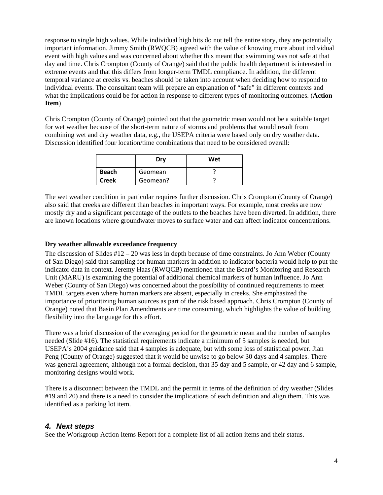response to single high values. While individual high hits do not tell the entire story, they are potentially important information. Jimmy Smith (RWQCB) agreed with the value of knowing more about individual event with high values and was concerned about whether this meant that swimming was not safe at that day and time. Chris Crompton (County of Orange) said that the public health department is interested in extreme events and that this differs from longer-term TMDL compliance. In addition, the different temporal variance at creeks vs. beaches should be taken into account when deciding how to respond to individual events. The consultant team will prepare an explanation of "safe" in different contexts and what the implications could be for action in response to different types of monitoring outcomes. (**Action Item**)

Chris Crompton (County of Orange) pointed out that the geometric mean would not be a suitable target for wet weather because of the short-term nature of storms and problems that would result from combining wet and dry weather data, e.g., the USEPA criteria were based only on dry weather data. Discussion identified four location/time combinations that need to be considered overall:

|              | Dry      | Wet |
|--------------|----------|-----|
| <b>Beach</b> | Geomean  |     |
| <b>Creek</b> | Geomean? |     |

The wet weather condition in particular requires further discussion. Chris Crompton (County of Orange) also said that creeks are different than beaches in important ways. For example, most creeks are now mostly dry and a significant percentage of the outlets to the beaches have been diverted. In addition, there are known locations where groundwater moves to surface water and can affect indicator concentrations.

#### **Dry weather allowable exceedance frequency**

The discussion of Slides #12 – 20 was less in depth because of time constraints. Jo Ann Weber (County of San Diego) said that sampling for human markers in addition to indicator bacteria would help to put the indicator data in context. Jeremy Haas (RWQCB) mentioned that the Board's Monitoring and Research Unit (MARU) is examining the potential of additional chemical markers of human influence. Jo Ann Weber (County of San Diego) was concerned about the possibility of continued requirements to meet TMDL targets even where human markers are absent, especially in creeks. She emphasized the importance of prioritizing human sources as part of the risk based approach. Chris Crompton (County of Orange) noted that Basin Plan Amendments are time consuming, which highlights the value of building flexibility into the language for this effort.

There was a brief discussion of the averaging period for the geometric mean and the number of samples needed (Slide #16). The statistical requirements indicate a minimum of 5 samples is needed, but USEPA's 2004 guidance said that 4 samples is adequate, but with some loss of statistical power. Jian Peng (County of Orange) suggested that it would be unwise to go below 30 days and 4 samples. There was general agreement, although not a formal decision, that 35 day and 5 sample, or 42 day and 6 sample, monitoring designs would work.

There is a disconnect between the TMDL and the permit in terms of the definition of dry weather (Slides #19 and 20) and there is a need to consider the implications of each definition and align them. This was identified as a parking lot item.

#### *4. Next steps*

See the Workgroup Action Items Report for a complete list of all action items and their status.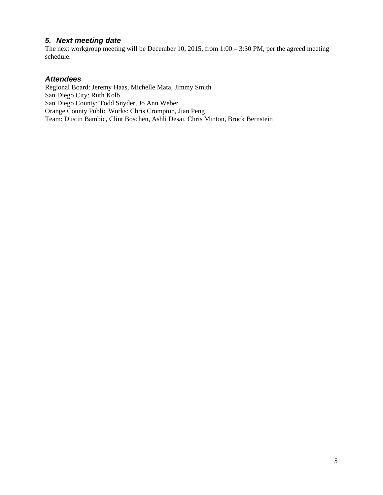## *5. Next meeting date*

The next workgroup meeting will be December 10, 2015, from 1:00 – 3:30 PM, per the agreed meeting schedule.

### *Attendees*

Regional Board: Jeremy Haas, Michelle Mata, Jimmy Smith San Diego City: Ruth Kolb San Diego County: Todd Snyder, Jo Ann Weber Orange County Public Works: Chris Crompton, Jian Peng Team: Dustin Bambic, Clint Boschen, Ashli Desai, Chris Minton, Brock Bernstein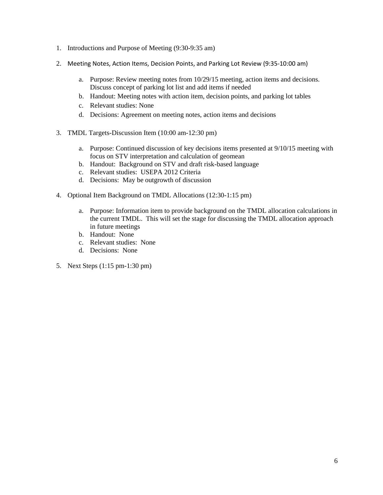- 1. Introductions and Purpose of Meeting (9:30-9:35 am)
- 2. Meeting Notes, Action Items, Decision Points, and Parking Lot Review (9:35-10:00 am)
	- a. Purpose: Review meeting notes from 10/29/15 meeting, action items and decisions. Discuss concept of parking lot list and add items if needed
	- b. Handout: Meeting notes with action item, decision points, and parking lot tables
	- c. Relevant studies: None
	- d. Decisions: Agreement on meeting notes, action items and decisions
- 3. TMDL Targets-Discussion Item (10:00 am-12:30 pm)
	- a. Purpose: Continued discussion of key decisions items presented at 9/10/15 meeting with focus on STV interpretation and calculation of geomean
	- b. Handout: Background on STV and draft risk-based language
	- c. Relevant studies: USEPA 2012 Criteria
	- d. Decisions: May be outgrowth of discussion
- 4. Optional Item Background on TMDL Allocations (12:30-1:15 pm)
	- a. Purpose: Information item to provide background on the TMDL allocation calculations in the current TMDL. This will set the stage for discussing the TMDL allocation approach in future meetings
	- b. Handout: None
	- c. Relevant studies: None
	- d. Decisions: None
- 5. Next Steps (1:15 pm-1:30 pm)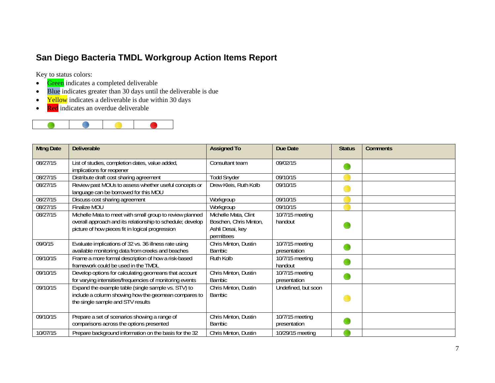## **San Diego Bacteria TMDL Workgroup Action Items Report**

Key to status colors:

- $\bullet$ Green indicates a completed deliverable
- $\bullet$ Blue indicates greater than 30 days until the deliverable is due
- $\bullet$ Yellow indicates a deliverable is due within 30 days
- $\bullet$ Red indicates an overdue deliverable



| <b>Mtng Date</b> | <b>Deliverable</b>                                                                                                                                                         | <b>Assigned To</b>                                                               | Due Date                        | <b>Status</b> | <b>Comments</b> |
|------------------|----------------------------------------------------------------------------------------------------------------------------------------------------------------------------|----------------------------------------------------------------------------------|---------------------------------|---------------|-----------------|
| 08/27/15         | List of studies, completion dates, value added,<br>implications for reopener                                                                                               | Consultant team                                                                  | 09/02/15                        |               |                 |
| 08/27/15         | Distribute draft cost sharing agreement                                                                                                                                    | <b>Todd Snyder</b>                                                               | 09/10/15                        |               |                 |
| 08/27/15         | Review past MOUs to assess whether useful concepts or<br>language can be borrowed for this MOU                                                                             | Drew Kleis, Ruth Kolb                                                            | 09/10/15                        |               |                 |
| 08/27/15         | Discuss cost sharing agreement                                                                                                                                             | Workgroup                                                                        | 09/10/15                        |               |                 |
| 08/27/15         | Finalize MOU                                                                                                                                                               | Workgroup                                                                        | 09/10/15                        |               |                 |
| 08/27/15         | Michelle Mata to meet with small group to review planned<br>overall approach and its relationship to schedule; develop<br>picture of how pieces fit in logical progression | Michelle Mata, Clint<br>Boschen, Chris Minton,<br>Ashli Desai, key<br>permittees | 10/7/15 meeting<br>handout      |               |                 |
| 09/0/15          | Evaluate implications of 32 vs. 36 illness rate using<br>available monitoring data from creeks and beaches                                                                 | Chris Minton, Dustin<br><b>Bambic</b>                                            | 10/7/15 meeting<br>presentation |               |                 |
| 09/10/15         | Frame a more formal description of how a risk-based<br>framework could be used in the TMDL                                                                                 | Ruth Kolb                                                                        | 10/7/15 meeting<br>handout      |               |                 |
| 09/10/15         | Develop options for calculating geomeans that account<br>for varying intensities/frequencies of monitoring events                                                          | Chris Minton, Dustin<br><b>Bambic</b>                                            | 10/7/15 meeting<br>presentation |               |                 |
| 09/10/15         | Expand the example table (single sample vs. STV) to<br>include a column showing how the geomean compares to<br>the single sample and STV results                           | Chris Minton, Dustin<br><b>Bambic</b>                                            | Undefined, but soon             |               |                 |
| 09/10/15         | Prepare a set of scenarios showing a range of<br>comparisons across the options presented                                                                                  | Chris Minton, Dustin<br><b>Bambic</b>                                            | 10/7/15 meeting<br>presentation |               |                 |
| 10/07/15         | Prepare background information on the basis for the 32                                                                                                                     | Chris Minton, Dustin                                                             | 10/29/15 meeting                |               |                 |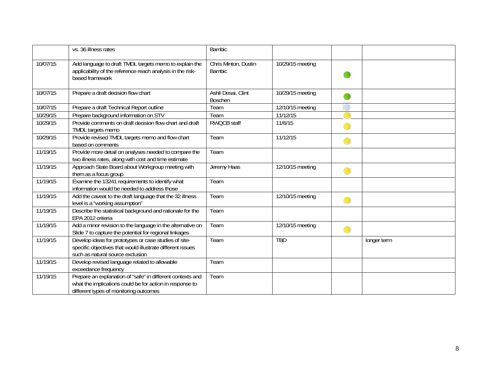|          | vs. 36 illness rates                                                                                                                                             | <b>Bambic</b>                         |                  |             |
|----------|------------------------------------------------------------------------------------------------------------------------------------------------------------------|---------------------------------------|------------------|-------------|
| 10/07/15 | Add language to draft TMDL targets memo to explain the<br>applicability of the reference reach analysis in the risk-<br>based framework                          | Chris Minton, Dustin<br><b>Bambic</b> | 10/29/15 meeting |             |
| 10/07/15 | Prepare a draft decision flow chart                                                                                                                              | Ashli Desai, Clint<br><b>Boschen</b>  | 10/29/15 meeting |             |
| 10/07/15 | Prepare a draft Technical Report outline                                                                                                                         | Team                                  | 12/10/15 meeting |             |
| 10/29/15 | Prepare background information on STV                                                                                                                            | Team                                  | 11/12/15         |             |
| 10/29/15 | Provide comments on draft decision flow chart and draft<br>TMDL targets memo                                                                                     | <b>RWQCB staff</b>                    | 11/6/15          |             |
| 10/29/15 | Provide revised TMDL targets memo and flow chart<br>based on comments                                                                                            | Team                                  | 11/12/15         |             |
| 11/19/15 | Provide more detail on analyses needed to compare the<br>two illness rates, along with cost and time estimate                                                    | Team                                  |                  |             |
| 11/19/15 | Approach State Board about Workgroup meeting with<br>them as a focus group                                                                                       | Jeremy Haas                           | 12/10/15 meeting |             |
| 11/19/15 | Examine the 13241 requirements to identify what<br>information would be needed to address those                                                                  | Team                                  |                  |             |
| 11/19/15 | Add the caveat to the draft language that the 32 illness<br>level is a "working assumption"                                                                      | Team                                  | 12/10/15 meeting |             |
| 11/19/15 | Describe the statistical background and rationale for the<br>EPA 2012 criteria                                                                                   | Team                                  |                  |             |
| 11/19/15 | Add a minor revision to the language in the alternative on<br>Slide 7 to capture the potential for regional linkages                                             | Team                                  | 12/10/15 meeting |             |
| 11/19/15 | Develop ideas for prototypes or case studies of site-<br>specific objectives that would illustrate different issues<br>such as natural source exclusion          | Team                                  | <b>TBD</b>       | longer term |
| 11/19/15 | Develop revised language related to allowable<br>exceedance frequency                                                                                            | Team                                  |                  |             |
| 11/19/15 | Prepare an explanation of "safe" in different contexts and<br>what the implications could be for action in response to<br>different types of monitoring outcomes | Team                                  |                  |             |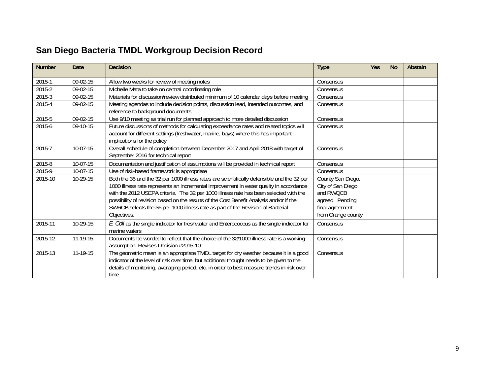# **San Diego Bacteria TMDL Workgroup Decision Record**

| Number   | Date       | <b>Decision</b>                                                                                                                                                                                                                                                                                                                                                                                                                                                            | <b>Type</b>                                                                                                     | <b>Yes</b> | <b>No</b> | <b>Abstain</b> |
|----------|------------|----------------------------------------------------------------------------------------------------------------------------------------------------------------------------------------------------------------------------------------------------------------------------------------------------------------------------------------------------------------------------------------------------------------------------------------------------------------------------|-----------------------------------------------------------------------------------------------------------------|------------|-----------|----------------|
| 2015-1   | 09-02-15   | Allow two weeks for review of meeting notes                                                                                                                                                                                                                                                                                                                                                                                                                                | Consensus                                                                                                       |            |           |                |
| 2015-2   | 09-02-15   | Michelle Mata to take on central coordinating role                                                                                                                                                                                                                                                                                                                                                                                                                         | Consensus                                                                                                       |            |           |                |
| $2015-3$ | 09-02-15   | Materials for discussion/review distributed minimum of 10 calendar days before meeting                                                                                                                                                                                                                                                                                                                                                                                     | Consensus                                                                                                       |            |           |                |
| 2015-4   | $09-02-15$ | Meeting agendas to include decision points, discussion lead, intended outcomes, and                                                                                                                                                                                                                                                                                                                                                                                        | Consensus                                                                                                       |            |           |                |
|          | 09-02-15   | reference to background documents                                                                                                                                                                                                                                                                                                                                                                                                                                          | Consensus                                                                                                       |            |           |                |
| 2015-5   |            | Use 9/10 meeting as trial run for planned approach to more detailed discussion                                                                                                                                                                                                                                                                                                                                                                                             |                                                                                                                 |            |           |                |
| 2015-6   | 09-10-15   | Future discussions of methods for calculating exceedance rates and related topics will<br>account for different settings (freshwater, marine, bays) where this has important<br>implications for the policy                                                                                                                                                                                                                                                                | Consensus                                                                                                       |            |           |                |
| 2015-7   | 10-07-15   | Overall schedule of completion between December 2017 and April 2018 with target of<br>September 2016 for technical report                                                                                                                                                                                                                                                                                                                                                  | Consensus                                                                                                       |            |           |                |
| 2015-8   | 10-07-15   | Documentation and justification of assumptions will be provided in technical report                                                                                                                                                                                                                                                                                                                                                                                        | Consensus                                                                                                       |            |           |                |
| 2015-9   | 10-07-15   | Use of risk-based framework is appropriate                                                                                                                                                                                                                                                                                                                                                                                                                                 | Consensus                                                                                                       |            |           |                |
| 2015-10  | $10-29-15$ | Both the 36 and the 32 per 1000 illness rates are scientifically defensible and the 32 per<br>1000 illness rate represents an incremental improvement in water quality in accordance<br>with the 2012 USEPA criteria. The 32 per 1000 illness rate has been selected with the<br>possibility of revision based on the results of the Cost Benefit Analysis and/or if the<br>SWRCB selects the 36 per 1000 illness rate as part of the Revision of Bacterial<br>Objectives. | County San Diego,<br>City of San Diego<br>and RWOCB<br>agreed. Pending<br>final agreement<br>from Orange county |            |           |                |
| 2015-11  | 10-29-15   | E. Coli as the single indicator for freshwater and Enterococcus as the single indicator for<br>marine waters                                                                                                                                                                                                                                                                                                                                                               | Consensus                                                                                                       |            |           |                |
| 2015-12  | 11-19-15   | Documents be worded to reflect that the choice of the 32/1000 illness rate is a working<br>assumption. Revises Decision #2015-10                                                                                                                                                                                                                                                                                                                                           | Consensus                                                                                                       |            |           |                |
| 2015-13  | 11-19-15   | The geometric mean is an appropriate TMDL target for dry weather because it is a good<br>indicator of the level of risk over time, but additional thought needs to be given to the<br>details of monitoring, averaging period, etc. in order to best measure trends in risk over<br>time                                                                                                                                                                                   | Consensus                                                                                                       |            |           |                |